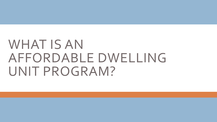# WHAT IS AN AFFORDABLE DWELLING UNIT PROGRAM?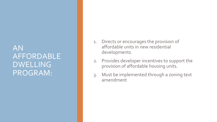#### AN AFFORDABLE DWELLING PROGRAM:

- 1. Directs or encourages the provision of affordable units in new residential developments.
- 2. Provides developer incentives to support the provision of affordable housing units.
- 3. Must be implemented through a zoning text amendment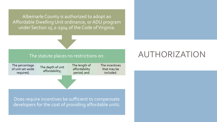Albemarle County is authorized to adopt an Affordable Dwelling Unit ordinance, or ADU program under Section 15.2-2304 of the Code of Virginia.

#### The statute places no restrictions on:

The percentage of unit set-aside required; The depth of unit affordability;

The length of affordability period; and

The incentives that may be included.

Does require incentives be sufficient to compensate developers for the cost of providing affordable units.

# AUTHORIZATION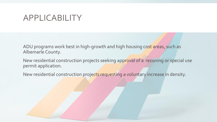#### APPLICABILITY

ADU programs work best in high-growth and high housing cost areas, such as Albemarle County.

New residential construction projects seeking approval of a rezoning or special use permit application.

New residential construction projects requesting a voluntary increase in density.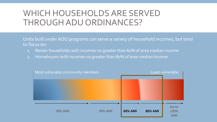# WHICH HOUSEHOLDS ARE SERVED THROUGH ADU ORDINANCES?

Units built under ADU programs can serve a variety of household incomes, but tend to focus on:

- 1. Renter households with incomes no greater than 60% of area median income
- 2. Homebuyers with incomes no greater than 80% of area median income

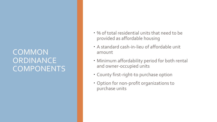### COMMON **ORDINANCE** COMPONENTS

- % of total residential units that need to be provided as affordable housing
- A standard cash-in-lieu of affordable unit amount
- Minimum affordability period for both rental and owner-occupied units
- County first-right-to purchase option
- Option for non-profit organizations to purchase units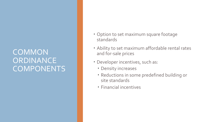### **COMMON ORDINANCE COMPONENTS**

- Option to set maximum square footage standards
- Ability to set maximum affordable rental rates and for-sale prices
- Developer incentives, such as:
	- **Density increases**
	- Reductions in some predefined building or site standards
	- Financial incentives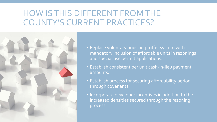# HOW IS THIS DIFFERENT FROM THE COUNTY'S CURRENT PRACTICES?



- Replace voluntary housing proffer system with mandatory inclusion of affordable units in rezonings and special use permit applications.
- Establish consistent per unit cash-in-lieu payment amounts.
- Establish process for securing affordability period through covenants.
- **· Incorporate developer incentives in addition to the** increased densities secured through the rezoning process.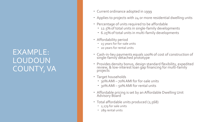#### EXAMPLE: LOUDOUN COUNTY, VA

- Current ordinance adopted in 1999
- Applies to projects with 24 or more residential dwelling units
- Percentage of units required to be affordable
	- 12.5% of total units in single-family developments
	- 6.25% of total units in multi-family developments
- Affordability period
	- 15 years for for-sale units
	- 20 years for rental units
- Cash-in-lieu payments equals 100% of cost of construction of single-family detached prototype
- Provides density bonus, design standard flexibility, expedited review, & low-interest loan gap financing for multi-family projects
- Target households
	- 30% AMI 70% AMI for for-sale units
	- 30% AMI 50% AMI for rental units
- Affordable pricing is set by an Affordable Dwelling Unit Advisory Board
- Total affordable units produced (2,568)
	- 2,279 for sale units
	- 289 rental units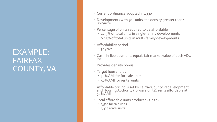#### EXAMPLE: FAIRFAX COUNTY, VA

- Current ordinance adopted in 1990
- Developments with 50+ units at a density greater than 1 unit/acre
- Percentage of units required to be affordable
	- 12.5% of total units in single-family developments
	- 6.25% of total units in multi-family developments
- Affordability period
	- 30 years
- Cash-in-lieu payments equals fair market value of each ADU lot
- **Provides density bonus**
- Target households
	- 70% AMI for for-sale units
	- 50% AMI for rental units
- **Affordable pricing is set by Fairfax County Redevelopment** and Housing Authority (for -sale units); rents affordable at 50% AMI
- Total affordable units produced (2,929)
	- <sup>1</sup>,500 for sale units
	- 1,429 rental units